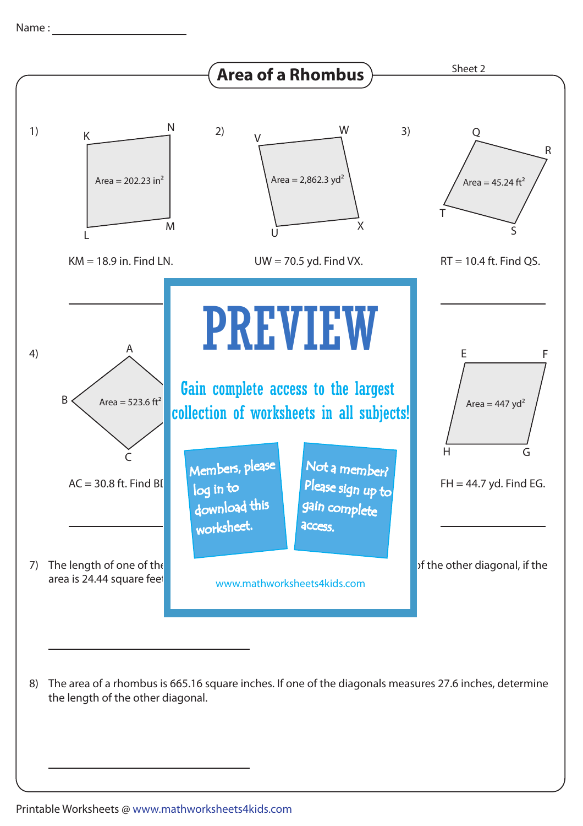